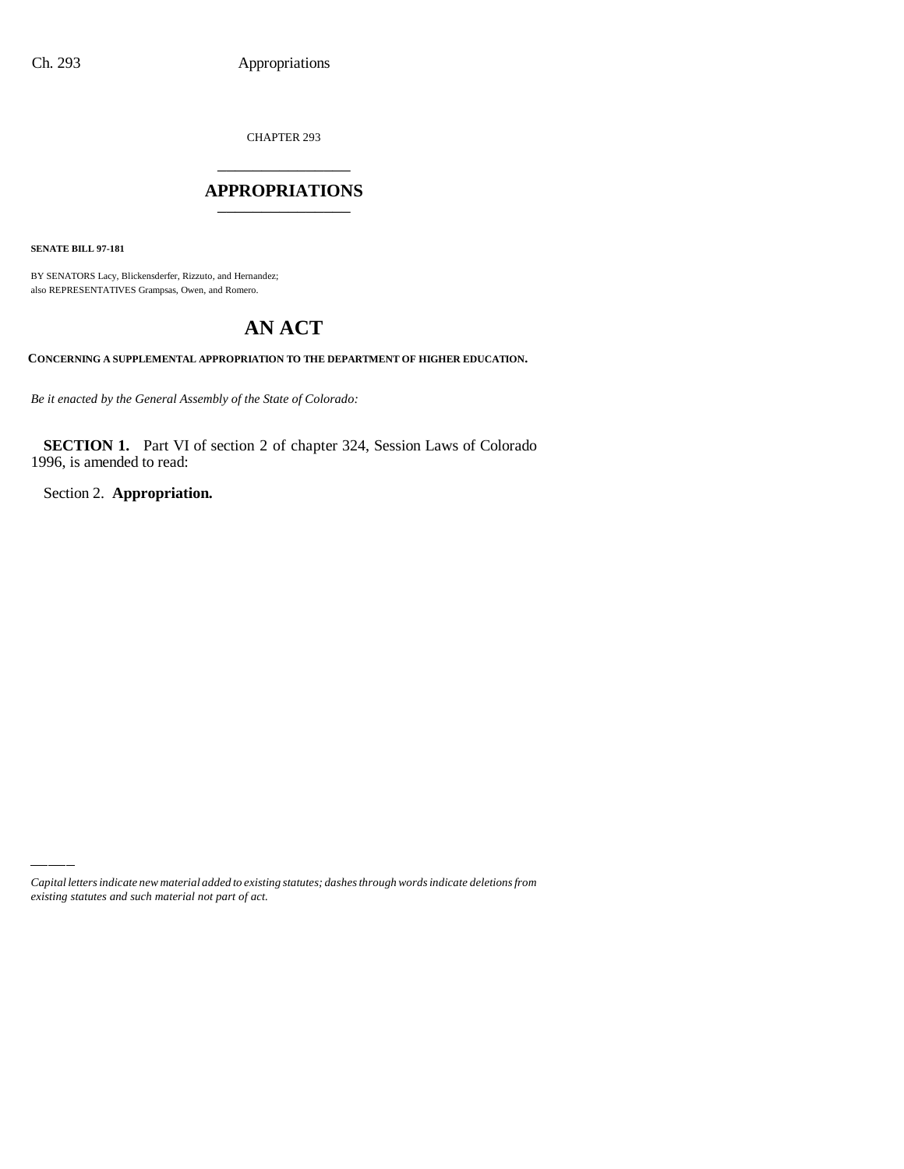CHAPTER 293 \_\_\_\_\_\_\_\_\_\_\_\_\_\_\_

### **APPROPRIATIONS** \_\_\_\_\_\_\_\_\_\_\_\_\_\_\_

**SENATE BILL 97-181**

BY SENATORS Lacy, Blickensderfer, Rizzuto, and Hernandez; also REPRESENTATIVES Grampsas, Owen, and Romero.

# **AN ACT**

**CONCERNING A SUPPLEMENTAL APPROPRIATION TO THE DEPARTMENT OF HIGHER EDUCATION.**

*Be it enacted by the General Assembly of the State of Colorado:*

**SECTION 1.** Part VI of section 2 of chapter 324, Session Laws of Colorado 1996, is amended to read:

Section 2. **Appropriation.**

*Capital letters indicate new material added to existing statutes; dashes through words indicate deletions from existing statutes and such material not part of act.*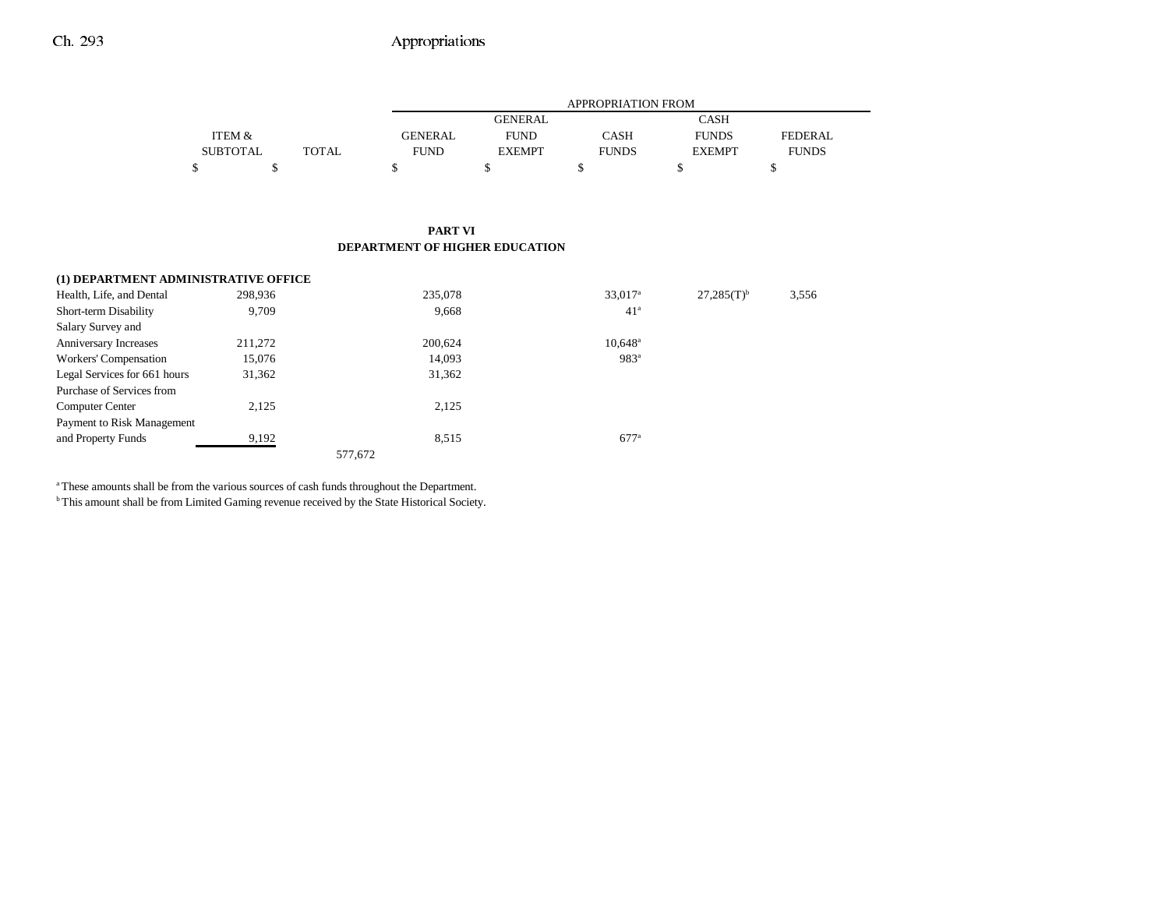|                 |       |             | APPROPRIATION FROM |              |               |              |  |  |
|-----------------|-------|-------------|--------------------|--------------|---------------|--------------|--|--|
|                 |       |             | <b>GENERAL</b>     |              | CASH          |              |  |  |
| ITEM &          |       | GENERAL     | <b>FUND</b>        | CASH         | <b>FUNDS</b>  | FEDERAL.     |  |  |
| <b>SUBTOTAL</b> | TOTAL | <b>FUND</b> | <b>EXEMPT</b>      | <b>FUNDS</b> | <b>EXEMPT</b> | <b>FUNDS</b> |  |  |
|                 |       |             |                    |              |               |              |  |  |

#### **PART VI DEPARTMENT OF HIGHER EDUCATION**

| (1) DEPARTMENT ADMINISTRATIVE OFFICE |         |         |                       |                 |       |
|--------------------------------------|---------|---------|-----------------------|-----------------|-------|
| Health, Life, and Dental             | 298,936 | 235,078 | $33,017$ <sup>a</sup> | $27,285(T)^{b}$ | 3,556 |
| Short-term Disability                | 9.709   | 9,668   | 41 <sup>a</sup>       |                 |       |
| Salary Survey and                    |         |         |                       |                 |       |
| Anniversary Increases                | 211,272 | 200,624 | $10.648^{\circ}$      |                 |       |
| Workers' Compensation                | 15,076  | 14,093  | 983 <sup>a</sup>      |                 |       |
| Legal Services for 661 hours         | 31,362  | 31,362  |                       |                 |       |
| Purchase of Services from            |         |         |                       |                 |       |
| <b>Computer Center</b>               | 2,125   | 2,125   |                       |                 |       |
| Payment to Risk Management           |         |         |                       |                 |       |
| and Property Funds                   | 9,192   | 8,515   | $677$ <sup>a</sup>    |                 |       |
|                                      |         | 577,672 |                       |                 |       |

a These amounts shall be from the various sources of cash funds throughout the Department.

b This amount shall be from Limited Gaming revenue received by the State Historical Society.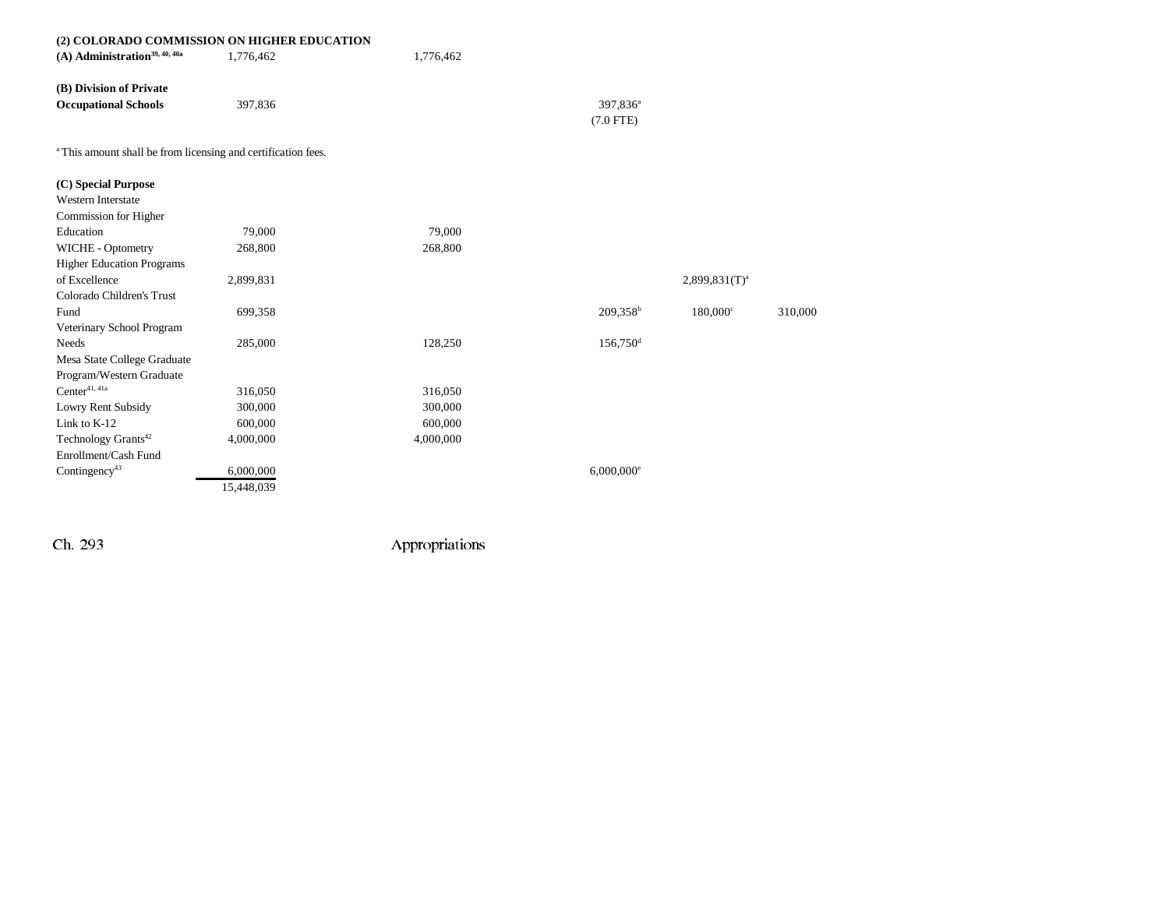| (2) COLORADO COMMISSION ON HIGHER EDUCATION                              |            |           |                          |                    |         |
|--------------------------------------------------------------------------|------------|-----------|--------------------------|--------------------|---------|
| $(A)$ Administration <sup>39, 40, 40a</sup>                              | 1,776,462  | 1,776,462 |                          |                    |         |
| (B) Division of Private                                                  |            |           |                          |                    |         |
| <b>Occupational Schools</b>                                              | 397,836    |           | 397,836 <sup>a</sup>     |                    |         |
|                                                                          |            |           | $(7.0$ FTE)              |                    |         |
| <sup>a</sup> This amount shall be from licensing and certification fees. |            |           |                          |                    |         |
| (C) Special Purpose                                                      |            |           |                          |                    |         |
| <b>Western Interstate</b>                                                |            |           |                          |                    |         |
| Commission for Higher                                                    |            |           |                          |                    |         |
| Education                                                                | 79,000     | 79,000    |                          |                    |         |
| WICHE - Optometry                                                        | 268,800    | 268,800   |                          |                    |         |
| <b>Higher Education Programs</b>                                         |            |           |                          |                    |         |
| of Excellence                                                            | 2,899,831  |           |                          | $2,899,831(T)^{a}$ |         |
| Colorado Children's Trust                                                |            |           |                          |                    |         |
| Fund                                                                     | 699,358    |           | 209,358 <sup>b</sup>     | 180,000°           | 310,000 |
| Veterinary School Program                                                |            |           |                          |                    |         |
| <b>Needs</b>                                                             | 285,000    | 128,250   | $156,750$ <sup>d</sup>   |                    |         |
| Mesa State College Graduate                                              |            |           |                          |                    |         |
| Program/Western Graduate                                                 |            |           |                          |                    |         |
| $Center^{41,\,41a}$                                                      | 316,050    | 316,050   |                          |                    |         |
| Lowry Rent Subsidy                                                       | 300,000    | 300,000   |                          |                    |         |
| Link to K-12                                                             | 600,000    | 600,000   |                          |                    |         |
| Technology Grants <sup>42</sup>                                          | 4,000,000  | 4,000,000 |                          |                    |         |
| Enrollment/Cash Fund                                                     |            |           |                          |                    |         |
| Contingency <sup>43</sup>                                                | 6,000,000  |           | $6,000,000$ <sup>e</sup> |                    |         |
|                                                                          | 15,448,039 |           |                          |                    |         |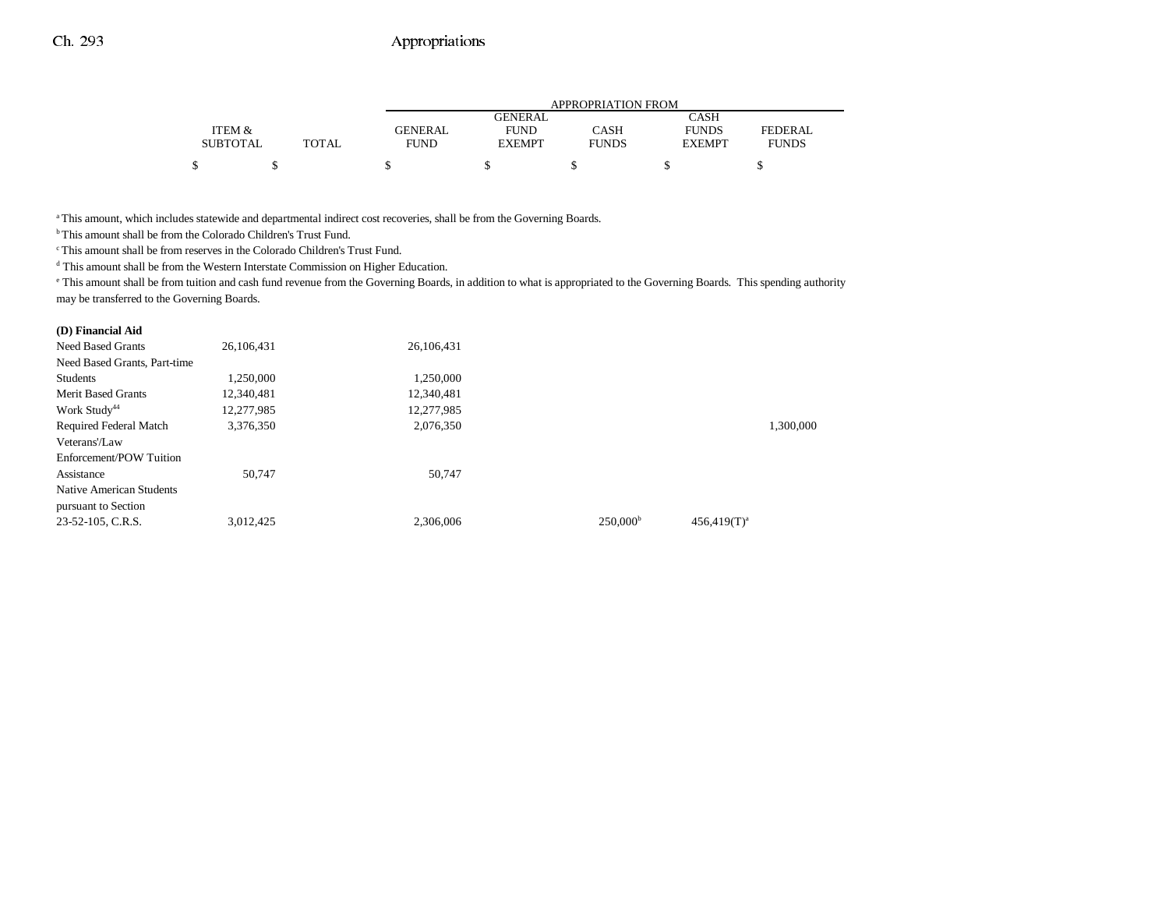|                 |       | <b>APPROPRIATION FROM</b> |                |              |               |                |  |
|-----------------|-------|---------------------------|----------------|--------------|---------------|----------------|--|
|                 |       |                           | <b>GENERAL</b> |              | <b>CASH</b>   |                |  |
| ITEM &          |       | <b>GENERAL</b>            | <b>FUND</b>    | CASH         | <b>FUNDS</b>  | <b>FEDERAL</b> |  |
| <b>SUBTOTAL</b> | TOTAL | <b>FUND</b>               | <b>EXEMPT</b>  | <b>FUNDS</b> | <b>EXEMPT</b> | <b>FUNDS</b>   |  |
|                 |       |                           |                |              |               |                |  |

<sup>a</sup> This amount, which includes statewide and departmental indirect cost recoveries, shall be from the Governing Boards.

b This amount shall be from the Colorado Children's Trust Fund.

c This amount shall be from reserves in the Colorado Children's Trust Fund.

 $^{\text{d}}$  This amount shall be from the Western Interstate Commission on Higher Education.

e This amount shall be from tuition and cash fund revenue from the Governing Boards, in addition to what is appropriated to the Governing Boards. This spending authority may be transferred to the Governing Boards.

#### **(D) Financial Aid**

| 26,106,431 | 26,106,431 |                      |                |           |
|------------|------------|----------------------|----------------|-----------|
|            |            |                      |                |           |
| 1,250,000  | 1.250.000  |                      |                |           |
| 12,340,481 | 12,340,481 |                      |                |           |
| 12,277,985 | 12,277,985 |                      |                |           |
| 3,376,350  | 2,076,350  |                      |                | 1.300.000 |
|            |            |                      |                |           |
|            |            |                      |                |           |
| 50.747     | 50.747     |                      |                |           |
|            |            |                      |                |           |
|            |            |                      |                |           |
| 3,012,425  | 2,306,006  | 250,000 <sup>b</sup> | $456,419(T)^a$ |           |
|            |            |                      |                |           |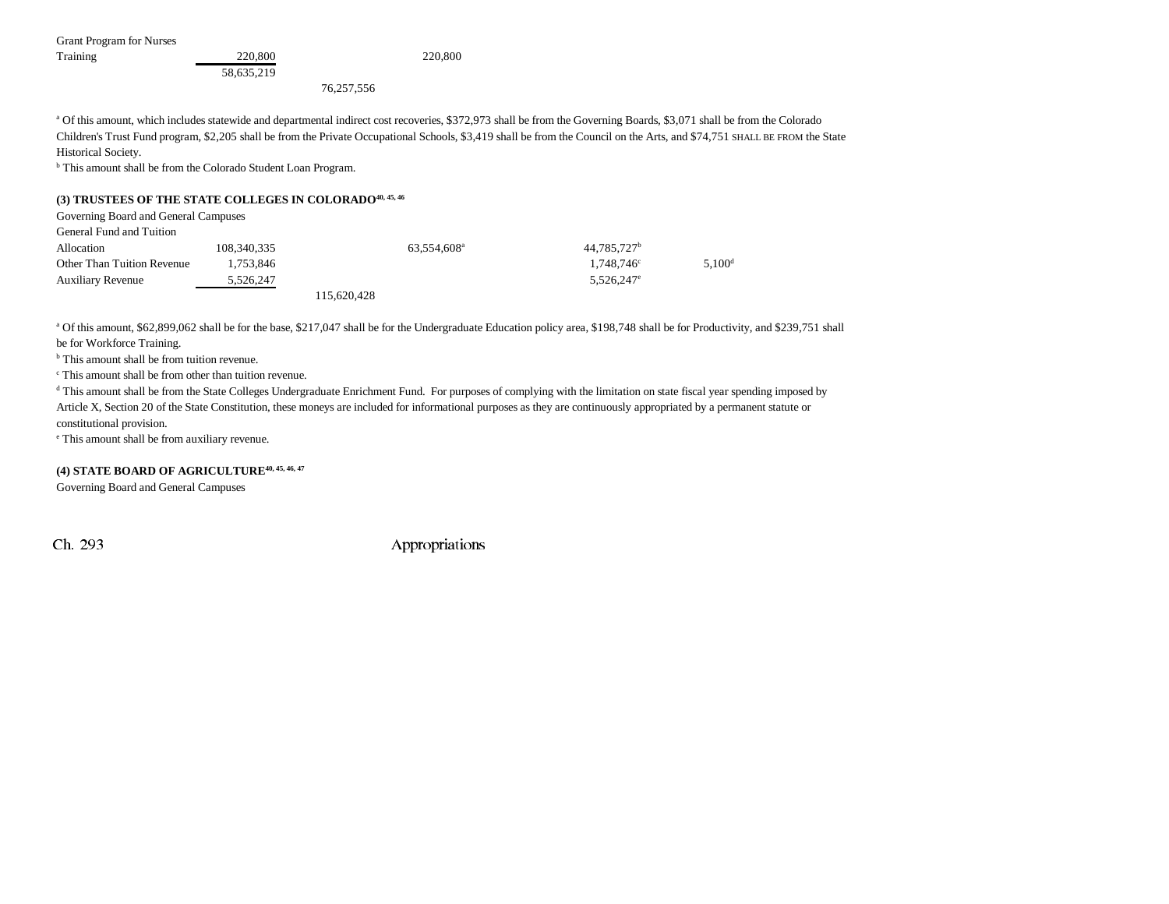Grant Program for Nurses

| Training | 220,800    | 220,800 |
|----------|------------|---------|
|          | 58,635,219 |         |

76,257,556

<sup>a</sup> Of this amount, which includes statewide and departmental indirect cost recoveries, \$372,973 shall be from the Governing Boards, \$3,071 shall be from the Colorado Children's Trust Fund program, \$2,205 shall be from the Private Occupational Schools, \$3,419 shall be from the Council on the Arts, and \$74,751 SHALL BE FROM the State Historical Society.

b This amount shall be from the Colorado Student Loan Program.

#### **(3) TRUSTEES OF THE STATE COLLEGES IN COLORADO40, 45, 46**

| Governing Board and General Campuses |             |             |                         |                         |                    |
|--------------------------------------|-------------|-------------|-------------------------|-------------------------|--------------------|
| General Fund and Tuition             |             |             |                         |                         |                    |
| Allocation                           | 108,340,335 |             | 63.554.608 <sup>a</sup> | 44,785,727 <sup>b</sup> |                    |
| Other Than Tuition Revenue           | 1.753.846   |             |                         | $1.748.746^{\circ}$     | 5.100 <sup>d</sup> |
| <b>Auxiliary Revenue</b>             | 5,526,247   |             |                         | $5,526,247^e$           |                    |
|                                      |             | 115.620.428 |                         |                         |                    |

<sup>a</sup> Of this amount, \$62,899,062 shall be for the base, \$217,047 shall be for the Undergraduate Education policy area, \$198,748 shall be for Productivity, and \$239,751 shall be for Workforce Training.

<sup>b</sup> This amount shall be from tuition revenue.

c This amount shall be from other than tuition revenue.

<sup>d</sup> This amount shall be from the State Colleges Undergraduate Enrichment Fund. For purposes of complying with the limitation on state fiscal year spending imposed by Article X, Section 20 of the State Constitution, these moneys are included for informational purposes as they are continuously appropriated by a permanent statute or constitutional provision.

e This amount shall be from auxiliary revenue.

### **(4) STATE BOARD OF AGRICULTURE40, 45, 46, 47**

Governing Board and General Campuses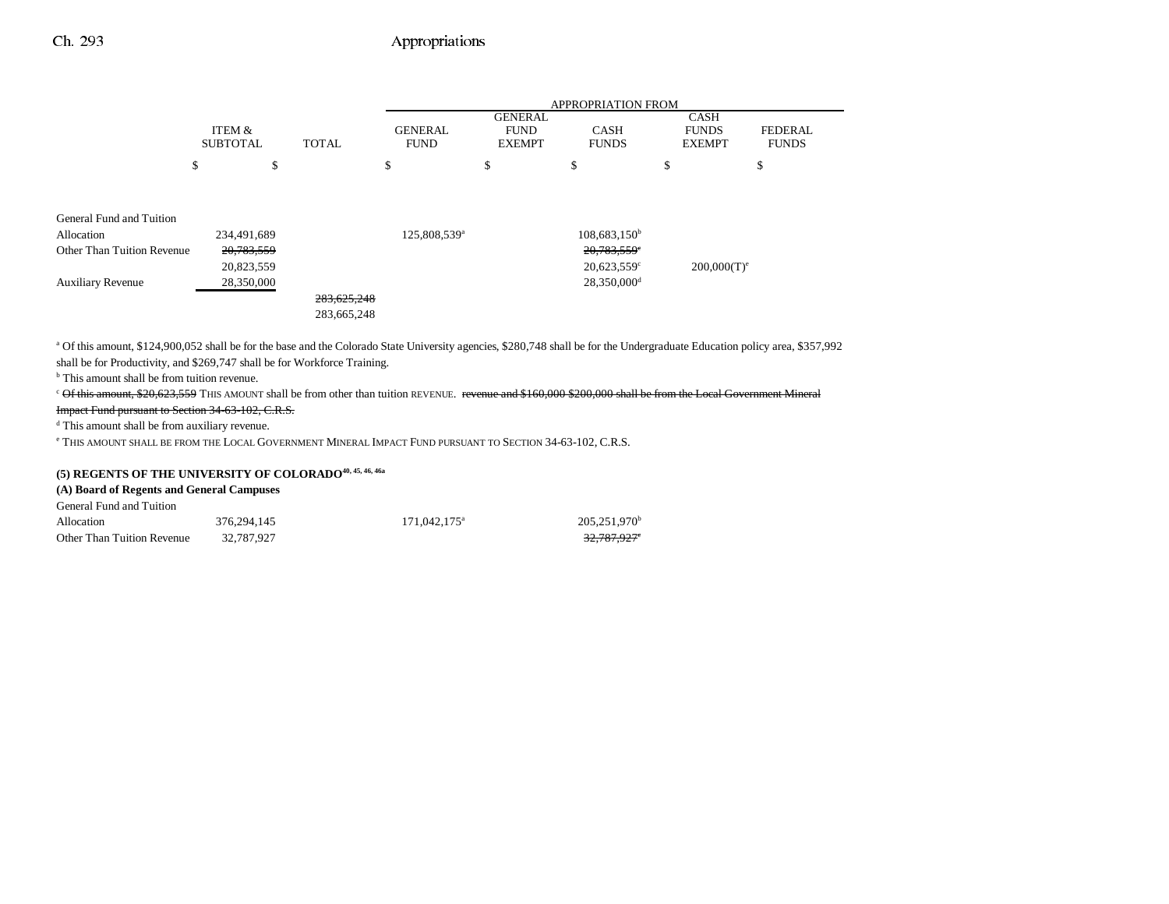|                            |                           |    |              | <b>APPROPRIATION FROM</b>     |                                                |                             |                                              |                                |
|----------------------------|---------------------------|----|--------------|-------------------------------|------------------------------------------------|-----------------------------|----------------------------------------------|--------------------------------|
|                            | ITEM &<br><b>SUBTOTAL</b> |    | <b>TOTAL</b> | <b>GENERAL</b><br><b>FUND</b> | <b>GENERAL</b><br><b>FUND</b><br><b>EXEMPT</b> | <b>CASH</b><br><b>FUNDS</b> | <b>CASH</b><br><b>FUNDS</b><br><b>EXEMPT</b> | <b>FEDERAL</b><br><b>FUNDS</b> |
|                            | \$                        | \$ |              | \$                            | \$                                             | \$                          | \$                                           | \$                             |
|                            |                           |    |              |                               |                                                |                             |                                              |                                |
| General Fund and Tuition   |                           |    |              |                               |                                                |                             |                                              |                                |
| Allocation                 | 234,491,689               |    |              | 125,808,539 <sup>a</sup>      |                                                | 108,683,150 <sup>b</sup>    |                                              |                                |
| Other Than Tuition Revenue | 20,783,559                |    |              |                               |                                                | 20,783,559°                 |                                              |                                |
|                            | 20,823,559                |    |              |                               |                                                | $20,623,559$ °              | $200,000(T)^e$                               |                                |
| <b>Auxiliary Revenue</b>   | 28,350,000                |    |              |                               |                                                | 28,350,000 <sup>d</sup>     |                                              |                                |
|                            |                           |    | 283,625,248  |                               |                                                |                             |                                              |                                |
|                            |                           |    | 283,665,248  |                               |                                                |                             |                                              |                                |

a Of this amount, \$124,900,052 shall be for the base and the Colorado State University agencies, \$280,748 shall be for the Undergraduate Education policy area, \$357,992 shall be for Productivity, and \$269,747 shall be for Workforce Training.

<sup>b</sup> This amount shall be from tuition revenue.

<sup>c</sup> Of this amount, \$20,623,559 THIS AMOUNT shall be from other than tuition REVENUE. revenue and \$160,000 \$200,000 shall be from the Local Government Mineral

Impact Fund pursuant to Section 34-63-102, C.R.S.

d This amount shall be from auxiliary revenue.

e THIS AMOUNT SHALL BE FROM THE LOCAL GOVERNMENT MINERAL IMPACT FUND PURSUANT TO SECTION 34-63-102, C.R.S.

# **(5) REGENTS OF THE UNIVERSITY OF COLORADO40, 45, 46, 46a**

#### **(A) Board of Regents and General Campuses**

| General Fund and Tuition   |             |                          |                 |
|----------------------------|-------------|--------------------------|-----------------|
| Allocation                 | 376.294.145 | 171.042.175 <sup>a</sup> | $205.251.970^b$ |
| Other Than Tuition Revenue | 32.787.927  |                          | 32.787.927°     |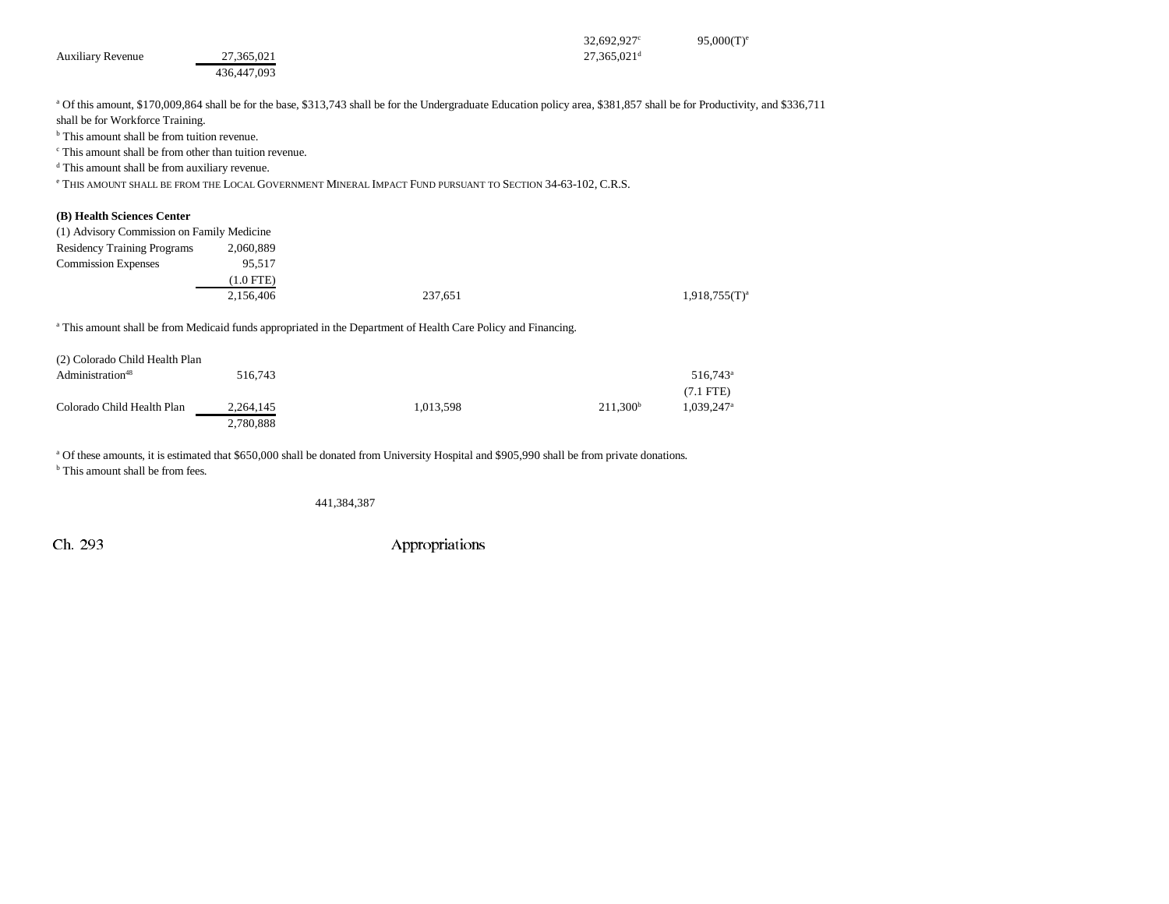| <b>Auxiliary Revenue</b>                                           | 27,365,021<br>436,447,093 |                                                                                                                                                                                      | $32,692,927$ °<br>$27,365,021$ <sup>d</sup> | $95,000(T)$ <sup>e</sup> |
|--------------------------------------------------------------------|---------------------------|--------------------------------------------------------------------------------------------------------------------------------------------------------------------------------------|---------------------------------------------|--------------------------|
|                                                                    |                           | <sup>a</sup> Of this amount, \$170,009,864 shall be for the base, \$313,743 shall be for the Undergraduate Education policy area, \$381,857 shall be for Productivity, and \$336,711 |                                             |                          |
| shall be for Workforce Training.                                   |                           |                                                                                                                                                                                      |                                             |                          |
| <sup>b</sup> This amount shall be from tuition revenue.            |                           |                                                                                                                                                                                      |                                             |                          |
| <sup>c</sup> This amount shall be from other than tuition revenue. |                           |                                                                                                                                                                                      |                                             |                          |
| <sup>d</sup> This amount shall be from auxiliary revenue.          |                           |                                                                                                                                                                                      |                                             |                          |
|                                                                    |                           | <sup>e</sup> THIS AMOUNT SHALL BE FROM THE LOCAL GOVERNMENT MINERAL IMPACT FUND PURSUANT TO SECTION 34-63-102, C.R.S.                                                                |                                             |                          |
| (B) Health Sciences Center                                         |                           |                                                                                                                                                                                      |                                             |                          |
| (1) Advisory Commission on Family Medicine                         |                           |                                                                                                                                                                                      |                                             |                          |
| <b>Residency Training Programs</b>                                 | 2,060,889                 |                                                                                                                                                                                      |                                             |                          |
| <b>Commission Expenses</b>                                         | 95,517                    |                                                                                                                                                                                      |                                             |                          |
|                                                                    | $(1.0$ FTE)               |                                                                                                                                                                                      |                                             |                          |
|                                                                    | 2,156,406                 | 237,651                                                                                                                                                                              |                                             | $1,918,755(T)^{a}$       |
|                                                                    |                           | <sup>a</sup> This amount shall be from Medicaid funds appropriated in the Department of Health Care Policy and Financing.                                                            |                                             |                          |
| (2) Colorado Child Health Plan                                     |                           |                                                                                                                                                                                      |                                             |                          |
| Administration <sup>48</sup>                                       | 516,743                   |                                                                                                                                                                                      |                                             | 516,743 <sup>a</sup>     |
|                                                                    |                           |                                                                                                                                                                                      |                                             | $(7.1$ LTE               |

(7.1 FTE) Colorado Child Health Plan 2,264,145 1,013,598 211,300<sup>b</sup> 1,039,247<sup>a</sup> 2,780,888

<sup>a</sup> Of these amounts, it is estimated that \$650,000 shall be donated from University Hospital and \$905,990 shall be from private donations.

<sup>b</sup> This amount shall be from fees.

441,384,387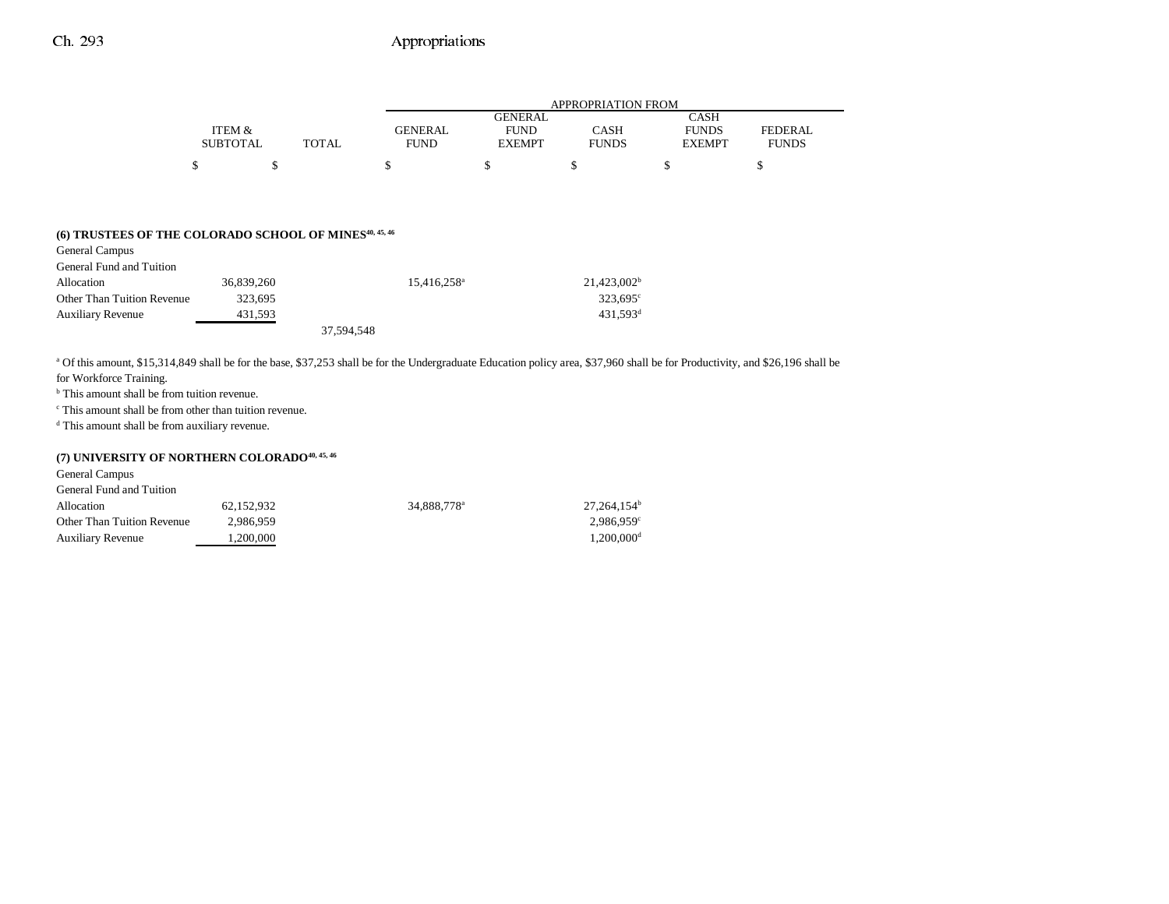|                 |              | APPROPRIATION FROM |               |              |               |                |  |
|-----------------|--------------|--------------------|---------------|--------------|---------------|----------------|--|
|                 |              |                    | GENERAL       |              | <b>CASH</b>   |                |  |
| ITEM &          |              | GENERAL            | <b>FUND</b>   | CASH         | <b>FUNDS</b>  | <b>FEDERAL</b> |  |
| <b>SUBTOTAL</b> | <b>TOTAL</b> | <b>FUND</b>        | <b>EXEMPT</b> | <b>FUNDS</b> | <b>EXEMPT</b> | <b>FUNDS</b>   |  |
| ሖ               |              |                    |               |              |               |                |  |

# **(6) TRUSTEES OF THE COLORADO SCHOOL OF MINES40, 45, 46**

| General Campus             |            |                         |                      |
|----------------------------|------------|-------------------------|----------------------|
| General Fund and Tuition   |            |                         |                      |
| Allocation                 | 36,839,260 | 15,416,258 <sup>a</sup> | $21,423,002^b$       |
| Other Than Tuition Revenue | 323.695    |                         | $323.695^{\circ}$    |
| <b>Auxiliary Revenue</b>   | 431,593    |                         | 431.593 <sup>d</sup> |
|                            |            | 37,594,548              |                      |

a Of this amount, \$15,314,849 shall be for the base, \$37,253 shall be for the Undergraduate Education policy area, \$37,960 shall be for Productivity, and \$26,196 shall be

for Workforce Training.

b This amount shall be from tuition revenue.

c This amount shall be from other than tuition revenue.

d This amount shall be from auxiliary revenue.

### (7) UNIVERSITY OF NORTHERN COLORADO<sup>40, 45, 46</sup>

General Campus

| General Fund and Tuition   |            |                         |                          |
|----------------------------|------------|-------------------------|--------------------------|
| Allocation                 | 62.152.932 | 34,888,778 <sup>a</sup> | $27.264.154^b$           |
| Other Than Tuition Revenue | 2.986.959  |                         | $2.986.959$ <sup>c</sup> |
| <b>Auxiliary Revenue</b>   | . 200.000  |                         | $1.200.000$ <sup>d</sup> |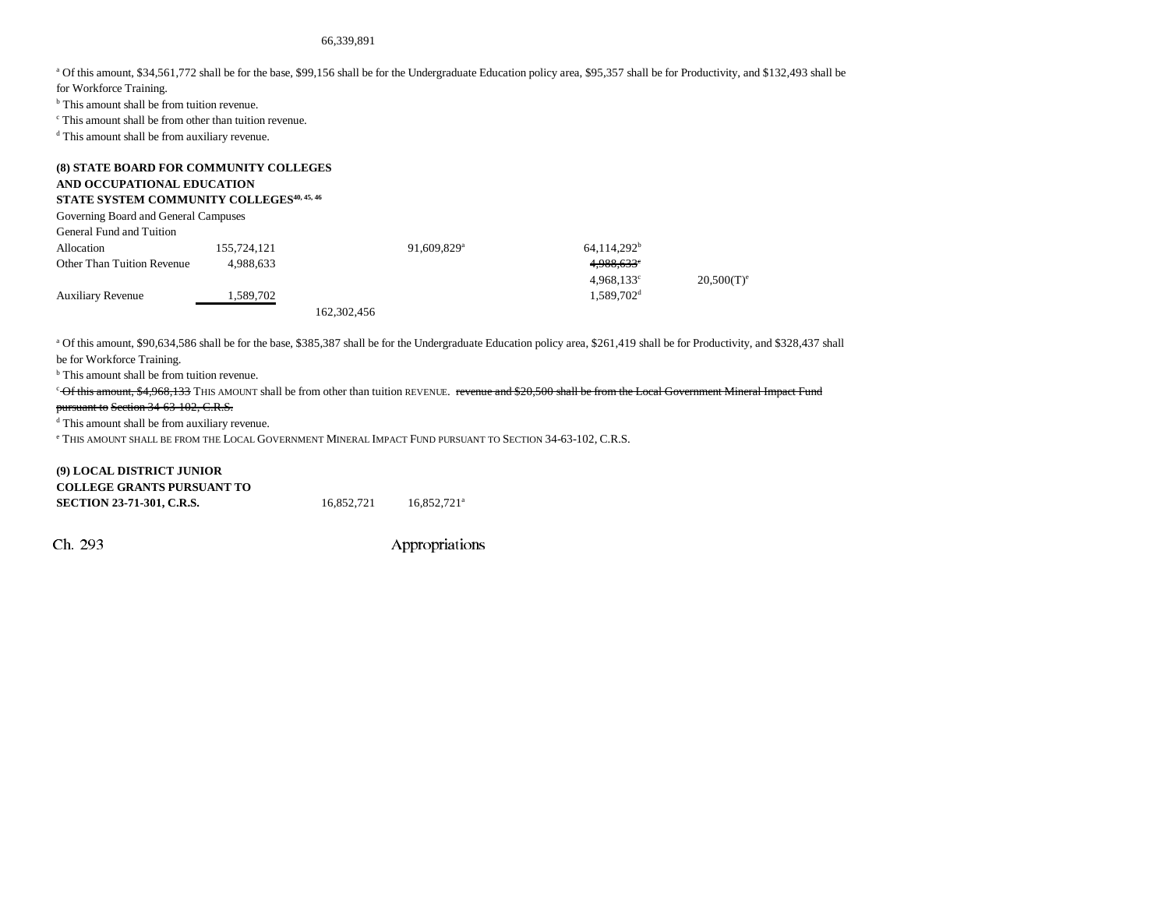#### 66,339,891

a Of this amount, \$34,561,772 shall be for the base, \$99,156 shall be for the Undergraduate Education policy area, \$95,357 shall be for Productivity, and \$132,493 shall be

for Workforce Training.

<sup>b</sup> This amount shall be from tuition revenue.

c This amount shall be from other than tuition revenue.

d This amount shall be from auxiliary revenue.

### **(8) STATE BOARD FOR COMMUNITY COLLEGES AND OCCUPATIONAL EDUCATION STATE SYSTEM COMMUNITY COLLEGES40, 45, 46**

| Governing Board and General Campuses |             |             |                         |                          |                          |
|--------------------------------------|-------------|-------------|-------------------------|--------------------------|--------------------------|
| General Fund and Tuition             |             |             |                         |                          |                          |
| Allocation                           | 155,724,121 |             | 91,609,829 <sup>a</sup> | $64,114,292^b$           |                          |
| <b>Other Than Tuition Revenue</b>    | 4.988.633   |             |                         | 4,988,633°               |                          |
|                                      |             |             |                         | $4.968.133$ <sup>c</sup> | $20,500(T)$ <sup>e</sup> |
| <b>Auxiliary Revenue</b>             | 1,589,702   |             |                         | 1.589.702 <sup>d</sup>   |                          |
|                                      |             | 162,302,456 |                         |                          |                          |

a Of this amount, \$90,634,586 shall be for the base, \$385,387 shall be for the Undergraduate Education policy area, \$261,419 shall be for Productivity, and \$328,437 shall be for Workforce Training.

<sup>b</sup> This amount shall be from tuition revenue.

<sup>c</sup> Of this amount, \$4,968,133 THIS AMOUNT shall be from other than tuition REVENUE. revenue and \$20,500 shall be from the Local Government Mineral Impact Fund

#### pursuant to Section 34-63-102, C.R.S.

d This amount shall be from auxiliary revenue.

<sup>e</sup> This amount shall be from the Local Government Mineral Impact Fund pursuant to Section 34-63-102, C.R.S.

| (9) LOCAL DISTRICT JUNIOR         |            |                           |
|-----------------------------------|------------|---------------------------|
| <b>COLLEGE GRANTS PURSUANT TO</b> |            |                           |
| <b>SECTION 23-71-301, C.R.S.</b>  | 16.852.721 | $16.852.721$ <sup>a</sup> |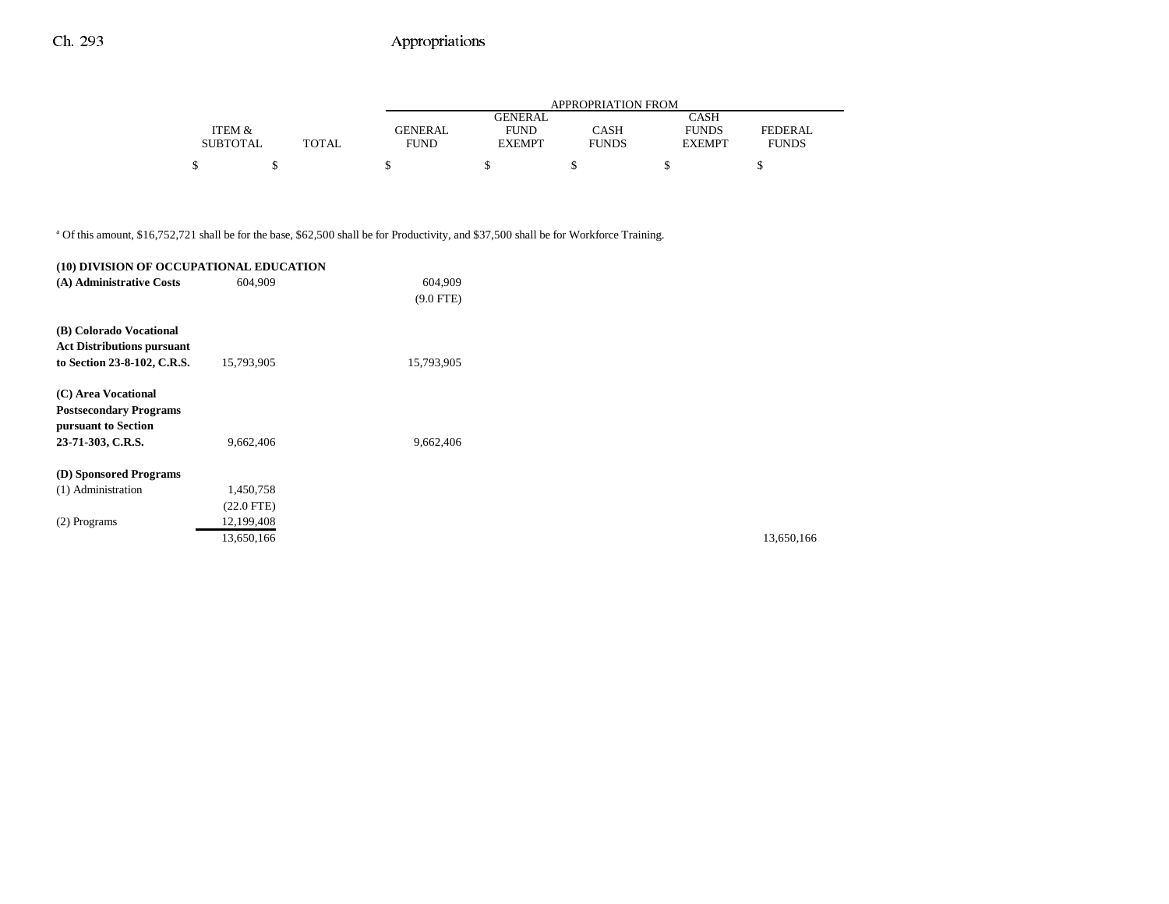|                 |       |                | APPROPRIATION FROM |              |               |                |  |  |
|-----------------|-------|----------------|--------------------|--------------|---------------|----------------|--|--|
|                 |       |                | GENERAL            |              | CASH          |                |  |  |
| ITEM &          |       | <b>GENERAL</b> | <b>FUND</b>        | CASH         | <b>FUNDS</b>  | <b>FEDERAL</b> |  |  |
| <b>SUBTOTAL</b> | TOTAL | <b>FUND</b>    | <b>EXEMPT</b>      | <b>FUNDS</b> | <b>EXEMPT</b> | <b>FUNDS</b>   |  |  |
|                 |       |                |                    |              |               |                |  |  |
|                 |       |                |                    |              |               |                |  |  |

a Of this amount, \$16,752,721 shall be for the base, \$62,500 shall be for Productivity, and \$37,500 shall be for Workforce Training.

| (10) DIVISION OF OCCUPATIONAL EDUCATION              |              |             |
|------------------------------------------------------|--------------|-------------|
| (A) Administrative Costs                             | 604.909      | 604,909     |
|                                                      |              | $(9.0$ FTE) |
| (B) Colorado Vocational                              |              |             |
| <b>Act Distributions pursuant</b>                    |              |             |
| to Section 23-8-102, C.R.S.                          | 15,793,905   | 15,793,905  |
| (C) Area Vocational                                  |              |             |
| <b>Postsecondary Programs</b><br>pursuant to Section |              |             |
| 23-71-303, C.R.S.                                    | 9,662,406    | 9,662,406   |
| (D) Sponsored Programs                               |              |             |
| (1) Administration                                   | 1,450,758    |             |
|                                                      | $(22.0$ FTE) |             |
| (2) Programs                                         | 12,199,408   |             |
|                                                      | 13,650,166   |             |

13,650,166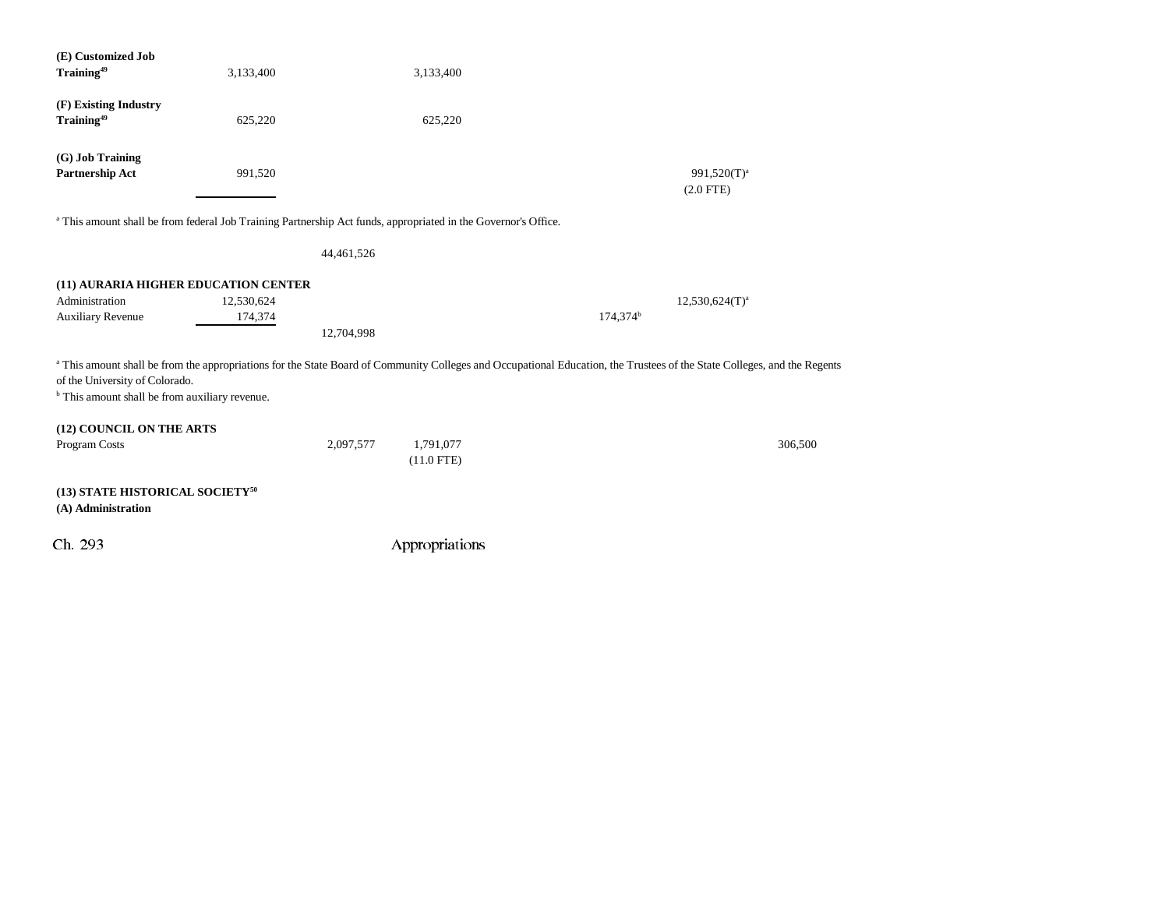| (E) Customized Job<br>Training <sup>49</sup>                                                                                                                                                                                                                            | 3,133,400             |            | 3,133,400                 |                      |                               |  |
|-------------------------------------------------------------------------------------------------------------------------------------------------------------------------------------------------------------------------------------------------------------------------|-----------------------|------------|---------------------------|----------------------|-------------------------------|--|
| (F) Existing Industry<br>Training <sup>49</sup>                                                                                                                                                                                                                         | 625,220               |            | 625,220                   |                      |                               |  |
| (G) Job Training<br>Partnership Act                                                                                                                                                                                                                                     | 991,520               |            |                           |                      | $991,520(T)^a$<br>$(2.0$ FTE) |  |
| a This amount shall be from federal Job Training Partnership Act funds, appropriated in the Governor's Office.                                                                                                                                                          |                       |            |                           |                      |                               |  |
|                                                                                                                                                                                                                                                                         |                       | 44,461,526 |                           |                      |                               |  |
| (11) AURARIA HIGHER EDUCATION CENTER<br>Administration<br><b>Auxiliary Revenue</b>                                                                                                                                                                                      | 12,530,624<br>174,374 | 12,704,998 |                           | 174,374 <sup>b</sup> | $12,530,624(T)^a$             |  |
| a This amount shall be from the appropriations for the State Board of Community Colleges and Occupational Education, the Trustees of the State Colleges, and the Regents<br>of the University of Colorado.<br><sup>b</sup> This amount shall be from auxiliary revenue. |                       |            |                           |                      |                               |  |
| (12) COUNCIL ON THE ARTS<br>Program Costs                                                                                                                                                                                                                               |                       | 2,097,577  | 1,791,077<br>$(11.0$ FTE) |                      | 306,500                       |  |
| (13) STATE HISTORICAL SOCIETY <sup>50</sup><br>(A) Administration                                                                                                                                                                                                       |                       |            |                           |                      |                               |  |
| Ch. 293                                                                                                                                                                                                                                                                 |                       |            | Appropriations            |                      |                               |  |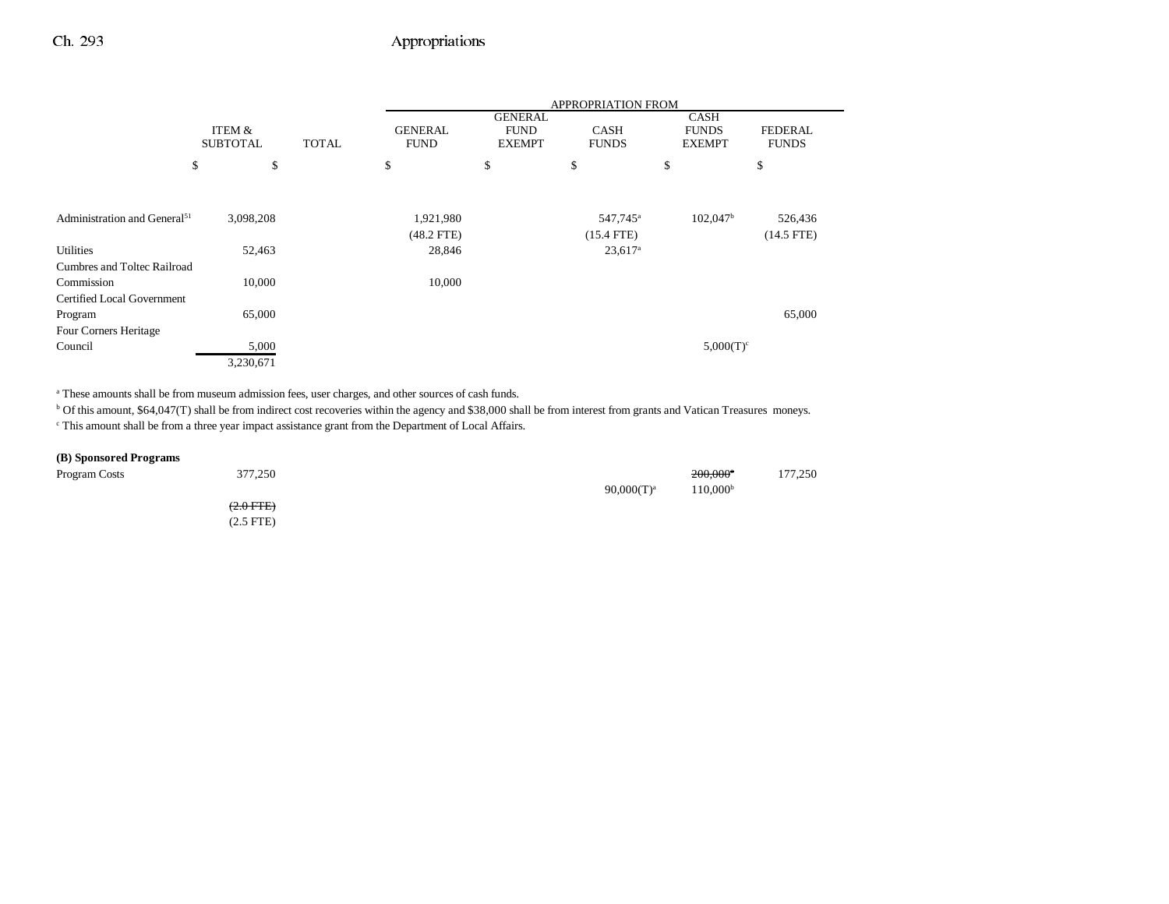|                                          |                           |              | <b>APPROPRIATION FROM</b>     |                              |                             |                               |                                |
|------------------------------------------|---------------------------|--------------|-------------------------------|------------------------------|-----------------------------|-------------------------------|--------------------------------|
|                                          |                           |              |                               | <b>GENERAL</b>               |                             | <b>CASH</b>                   |                                |
|                                          | ITEM &<br><b>SUBTOTAL</b> | <b>TOTAL</b> | <b>GENERAL</b><br><b>FUND</b> | <b>FUND</b><br><b>EXEMPT</b> | <b>CASH</b><br><b>FUNDS</b> | <b>FUNDS</b><br><b>EXEMPT</b> | <b>FEDERAL</b><br><b>FUNDS</b> |
|                                          | \$<br>\$                  |              | \$                            | \$                           | \$                          | \$                            | \$                             |
|                                          |                           |              |                               |                              |                             |                               |                                |
| Administration and General <sup>51</sup> | 3,098,208                 |              | 1,921,980                     |                              | 547,745 <sup>a</sup>        | $102,047$ <sup>b</sup>        | 526,436                        |
|                                          |                           |              | $(48.2$ FTE)                  |                              | $(15.4$ FTE)                |                               | $(14.5$ FTE)                   |
| Utilities                                | 52,463                    |              | 28,846                        |                              | $23,617$ <sup>a</sup>       |                               |                                |
| Cumbres and Toltec Railroad              |                           |              |                               |                              |                             |                               |                                |
| Commission                               | 10,000                    |              | 10,000                        |                              |                             |                               |                                |
| <b>Certified Local Government</b>        |                           |              |                               |                              |                             |                               |                                |
| Program                                  | 65,000                    |              |                               |                              |                             |                               | 65,000                         |
| Four Corners Heritage                    |                           |              |                               |                              |                             |                               |                                |
| Council                                  | 5,000                     |              |                               |                              |                             | $5,000(T)^c$                  |                                |
|                                          | 3,230,671                 |              |                               |                              |                             |                               |                                |

a These amounts shall be from museum admission fees, user charges, and other sources of cash funds.

<sup>b</sup> Of this amount, \$64,047(T) shall be from indirect cost recoveries within the agency and \$38,000 shall be from interest from grants and Vatican Treasures moneys.

c This amount shall be from a three year impact assistance grant from the Department of Local Affairs.

### **(B) Sponsored Programs**

| Program Costs | 377,250        | $90,000(T)^a$ | $200,000$ <sup>a</sup><br>$110,000^{\rm b}$ | 177,250 |
|---------------|----------------|---------------|---------------------------------------------|---------|
|               | $(2.0$ FTE $)$ |               |                                             |         |
|               | $(2.5$ FTE $)$ |               |                                             |         |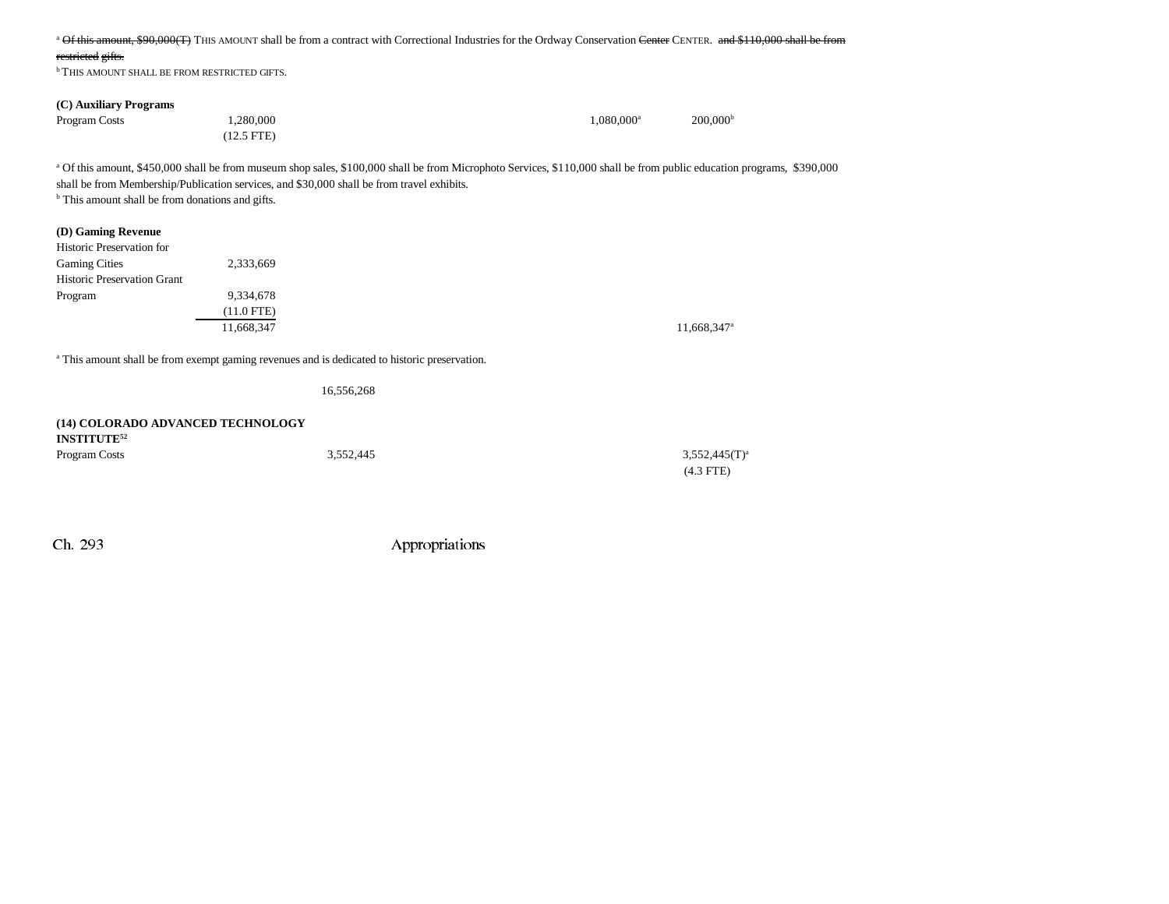| Of this amount, \$90,000(T) THIS AMOUNT shall be from a contract with Correctional Industries for the Ordway Conservation Center CENTER. and \$110,000 shall be from                                                                                                                                                                           |                                                                                                          |                        |                         |  |  |  |  |
|------------------------------------------------------------------------------------------------------------------------------------------------------------------------------------------------------------------------------------------------------------------------------------------------------------------------------------------------|----------------------------------------------------------------------------------------------------------|------------------------|-------------------------|--|--|--|--|
| restricted gifts.                                                                                                                                                                                                                                                                                                                              |                                                                                                          |                        |                         |  |  |  |  |
| <sup>b</sup> THIS AMOUNT SHALL BE FROM RESTRICTED GIFTS.                                                                                                                                                                                                                                                                                       |                                                                                                          |                        |                         |  |  |  |  |
|                                                                                                                                                                                                                                                                                                                                                |                                                                                                          |                        |                         |  |  |  |  |
| (C) Auxiliary Programs                                                                                                                                                                                                                                                                                                                         |                                                                                                          |                        |                         |  |  |  |  |
| Program Costs                                                                                                                                                                                                                                                                                                                                  | 1,280,000                                                                                                | 1,080,000 <sup>a</sup> | 200,000 <sup>b</sup>    |  |  |  |  |
|                                                                                                                                                                                                                                                                                                                                                | $(12.5$ FTE)                                                                                             |                        |                         |  |  |  |  |
| <sup>a</sup> Of this amount, \$450,000 shall be from museum shop sales, \$100,000 shall be from Microphoto Services, \$110,000 shall be from public education programs, \$390,000<br>shall be from Membership/Publication services, and \$30,000 shall be from travel exhibits.<br><sup>b</sup> This amount shall be from donations and gifts. |                                                                                                          |                        |                         |  |  |  |  |
| (D) Gaming Revenue                                                                                                                                                                                                                                                                                                                             |                                                                                                          |                        |                         |  |  |  |  |
| Historic Preservation for                                                                                                                                                                                                                                                                                                                      |                                                                                                          |                        |                         |  |  |  |  |
| <b>Gaming Cities</b>                                                                                                                                                                                                                                                                                                                           | 2,333,669                                                                                                |                        |                         |  |  |  |  |
| <b>Historic Preservation Grant</b>                                                                                                                                                                                                                                                                                                             |                                                                                                          |                        |                         |  |  |  |  |
| Program                                                                                                                                                                                                                                                                                                                                        | 9,334,678                                                                                                |                        |                         |  |  |  |  |
|                                                                                                                                                                                                                                                                                                                                                | $(11.0$ FTE)                                                                                             |                        |                         |  |  |  |  |
|                                                                                                                                                                                                                                                                                                                                                | 11,668,347                                                                                               |                        | 11,668,347 <sup>a</sup> |  |  |  |  |
|                                                                                                                                                                                                                                                                                                                                                |                                                                                                          |                        |                         |  |  |  |  |
|                                                                                                                                                                                                                                                                                                                                                | <sup>a</sup> This amount shall be from exempt gaming revenues and is dedicated to historic preservation. |                        |                         |  |  |  |  |
|                                                                                                                                                                                                                                                                                                                                                | 16,556,268                                                                                               |                        |                         |  |  |  |  |
| (14) COLORADO ADVANCED TECHNOLOGY<br><b>INSTITUTE</b> <sup>52</sup>                                                                                                                                                                                                                                                                            |                                                                                                          |                        |                         |  |  |  |  |
| Program Costs                                                                                                                                                                                                                                                                                                                                  | 3,552,445                                                                                                |                        | $3,552,445(T)^a$        |  |  |  |  |
|                                                                                                                                                                                                                                                                                                                                                |                                                                                                          |                        | $(4.3$ FTE)             |  |  |  |  |
|                                                                                                                                                                                                                                                                                                                                                |                                                                                                          |                        |                         |  |  |  |  |
|                                                                                                                                                                                                                                                                                                                                                |                                                                                                          |                        |                         |  |  |  |  |
|                                                                                                                                                                                                                                                                                                                                                |                                                                                                          |                        |                         |  |  |  |  |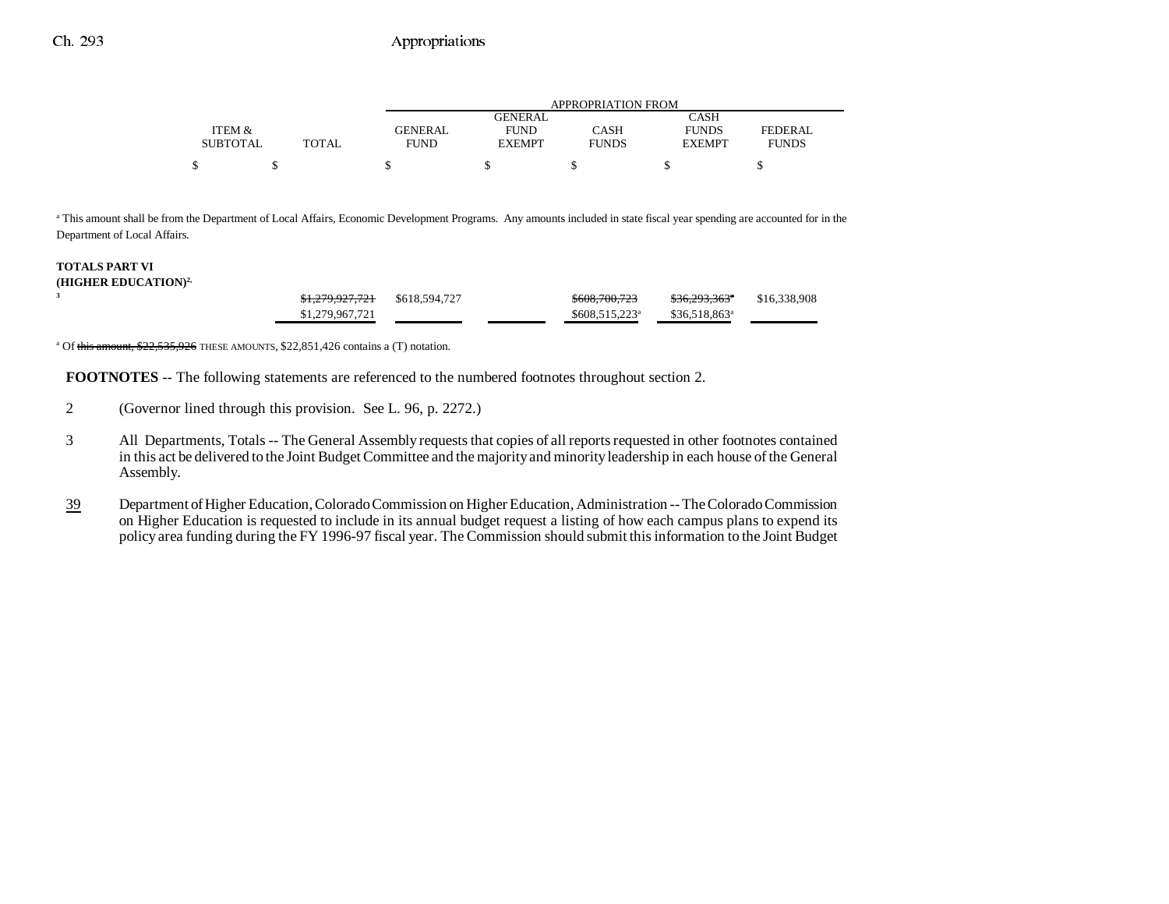|                 |              |                | APPROPRIATION FROM |              |               |              |  |  |
|-----------------|--------------|----------------|--------------------|--------------|---------------|--------------|--|--|
|                 |              |                | GENERAL            |              | CASH          |              |  |  |
| ITEM &          |              | <b>GENERAL</b> | <b>FUND</b>        | CASH         | <b>FUNDS</b>  | FEDERAL      |  |  |
| <b>SUBTOTAL</b> | <b>TOTAL</b> | <b>FUND</b>    | <b>EXEMPT</b>      | <b>FUNDS</b> | <b>EXEMPT</b> | <b>FUNDS</b> |  |  |
|                 |              |                |                    |              |               |              |  |  |

<sup>a</sup> This amount shall be from the Department of Local Affairs, Economic Development Programs. Any amounts included in state fiscal year spending are accounted for in the Department of Local Affairs.

#### **TOTALS PART VI (HIGHER EDUCATION)2,**

**3**

|  | <del>\$1,279,927,721</del> | \$618,594,727 | \$608,700,723               | <del>\$36.293.363</del> *  | \$16,338,908 |
|--|----------------------------|---------------|-----------------------------|----------------------------|--------------|
|  | \$1,279,967,721            |               | $$608.515.223$ <sup>a</sup> | $$36,518,863$ <sup>a</sup> |              |
|  |                            |               |                             |                            |              |

<sup>a</sup> Of this amount, \$22,535,926 THESE AMOUNTS, \$22,851,426 contains a (T) notation.

**FOOTNOTES** -- The following statements are referenced to the numbered footnotes throughout section 2.

- 2 (Governor lined through this provision. See L. 96, p. 2272.)
- 3 All Departments, Totals -- The General Assembly requests that copies of all reports requested in other footnotes contained in this act be delivered to the Joint Budget Committee and the majority and minority leadership in each house of the General Assembly.
- 39 Department of Higher Education, Colorado Commission on Higher Education, Administration -- The Colorado Commission on Higher Education is requested to include in its annual budget request a listing of how each campus plans to expend its policy area funding during the FY 1996-97 fiscal year. The Commission should submit this information to the Joint Budget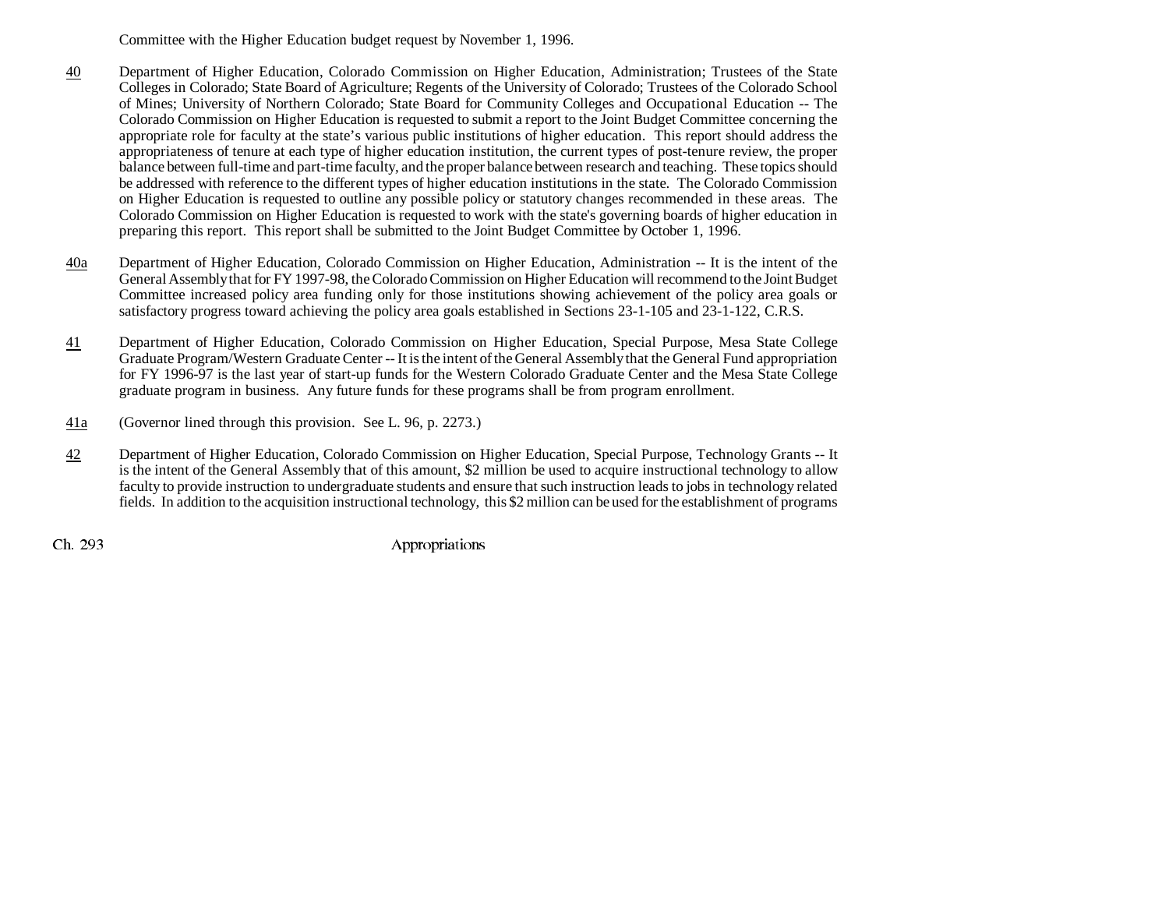Committee with the Higher Education budget request by November 1, 1996.

- 40 Department of Higher Education, Colorado Commission on Higher Education, Administration; Trustees of the State Colleges in Colorado; State Board of Agriculture; Regents of the University of Colorado; Trustees of the Colorado School of Mines; University of Northern Colorado; State Board for Community Colleges and Occupational Education -- The Colorado Commission on Higher Education is requested to submit a report to the Joint Budget Committee concerning the appropriate role for faculty at the state's various public institutions of higher education. This report should address the appropriateness of tenure at each type of higher education institution, the current types of post-tenure review, the proper balance between full-time and part-time faculty, and the proper balance between research and teaching. These topics should be addressed with reference to the different types of higher education institutions in the state. The Colorado Commission on Higher Education is requested to outline any possible policy or statutory changes recommended in these areas. The Colorado Commission on Higher Education is requested to work with the state's governing boards of higher education in preparing this report. This report shall be submitted to the Joint Budget Committee by October 1, 1996.
- 40a Department of Higher Education, Colorado Commission on Higher Education, Administration -- It is the intent of the General Assembly that for FY 1997-98, the Colorado Commission on Higher Education will recommend to the Joint Budget Committee increased policy area funding only for those institutions showing achievement of the policy area goals or satisfactory progress toward achieving the policy area goals established in Sections 23-1-105 and 23-1-122, C.R.S.
- 41 Department of Higher Education, Colorado Commission on Higher Education, Special Purpose, Mesa State College Graduate Program/Western Graduate Center -- It is the intent of the General Assembly that the General Fund appropriation for FY 1996-97 is the last year of start-up funds for the Western Colorado Graduate Center and the Mesa State College graduate program in business. Any future funds for these programs shall be from program enrollment.
- 41a(Governor lined through this provision. See L. 96, p. 2273.)
- 42 Department of Higher Education, Colorado Commission on Higher Education, Special Purpose, Technology Grants -- It is the intent of the General Assembly that of this amount, \$2 million be used to acquire instructional technology to allow faculty to provide instruction to undergraduate students and ensure that such instruction leads to jobs in technology related fields. In addition to the acquisition instructional technology, this \$2 million can be used for the establishment of programs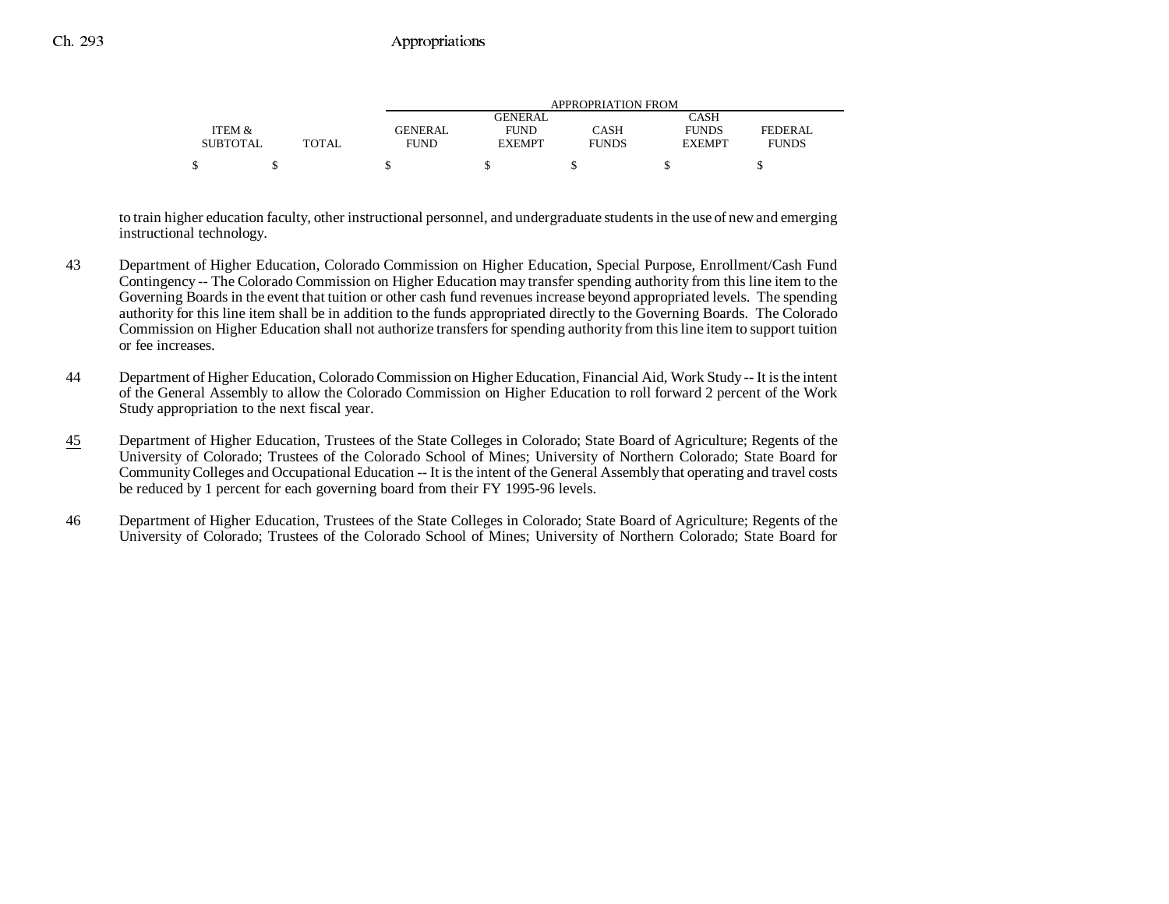|                 |              |             | APPROPRIATION FROM |              |               |              |  |  |
|-----------------|--------------|-------------|--------------------|--------------|---------------|--------------|--|--|
|                 |              |             | GENERAL            |              | CASH          |              |  |  |
| ITEM &          |              | GENERAL     | <b>FUND</b>        | CASH         | <b>FUNDS</b>  | FEDERAL.     |  |  |
| <b>SUBTOTAL</b> | <b>TOTAL</b> | <b>FUND</b> | <b>EXEMPT</b>      | <b>FUNDS</b> | <b>EXEMPT</b> | <b>FUNDS</b> |  |  |
|                 |              |             |                    |              |               |              |  |  |

to train higher education faculty, other instructional personnel, and undergraduate students in the use of new and emerging instructional technology.

- 43 Department of Higher Education, Colorado Commission on Higher Education, Special Purpose, Enrollment/Cash Fund Contingency -- The Colorado Commission on Higher Education may transfer spending authority from this line item to the Governing Boards in the event that tuition or other cash fund revenues increase beyond appropriated levels. The spending authority for this line item shall be in addition to the funds appropriated directly to the Governing Boards. The Colorado Commission on Higher Education shall not authorize transfers for spending authority from this line item to support tuition or fee increases.
- 44 Department of Higher Education, Colorado Commission on Higher Education, Financial Aid, Work Study -- It is the intent of the General Assembly to allow the Colorado Commission on Higher Education to roll forward 2 percent of the Work Study appropriation to the next fiscal year.
- 45 Department of Higher Education, Trustees of the State Colleges in Colorado; State Board of Agriculture; Regents of the University of Colorado; Trustees of the Colorado School of Mines; University of Northern Colorado; State Board for Community Colleges and Occupational Education -- It is the intent of the General Assembly that operating and travel costs be reduced by 1 percent for each governing board from their FY 1995-96 levels.
- 46 Department of Higher Education, Trustees of the State Colleges in Colorado; State Board of Agriculture; Regents of the University of Colorado; Trustees of the Colorado School of Mines; University of Northern Colorado; State Board for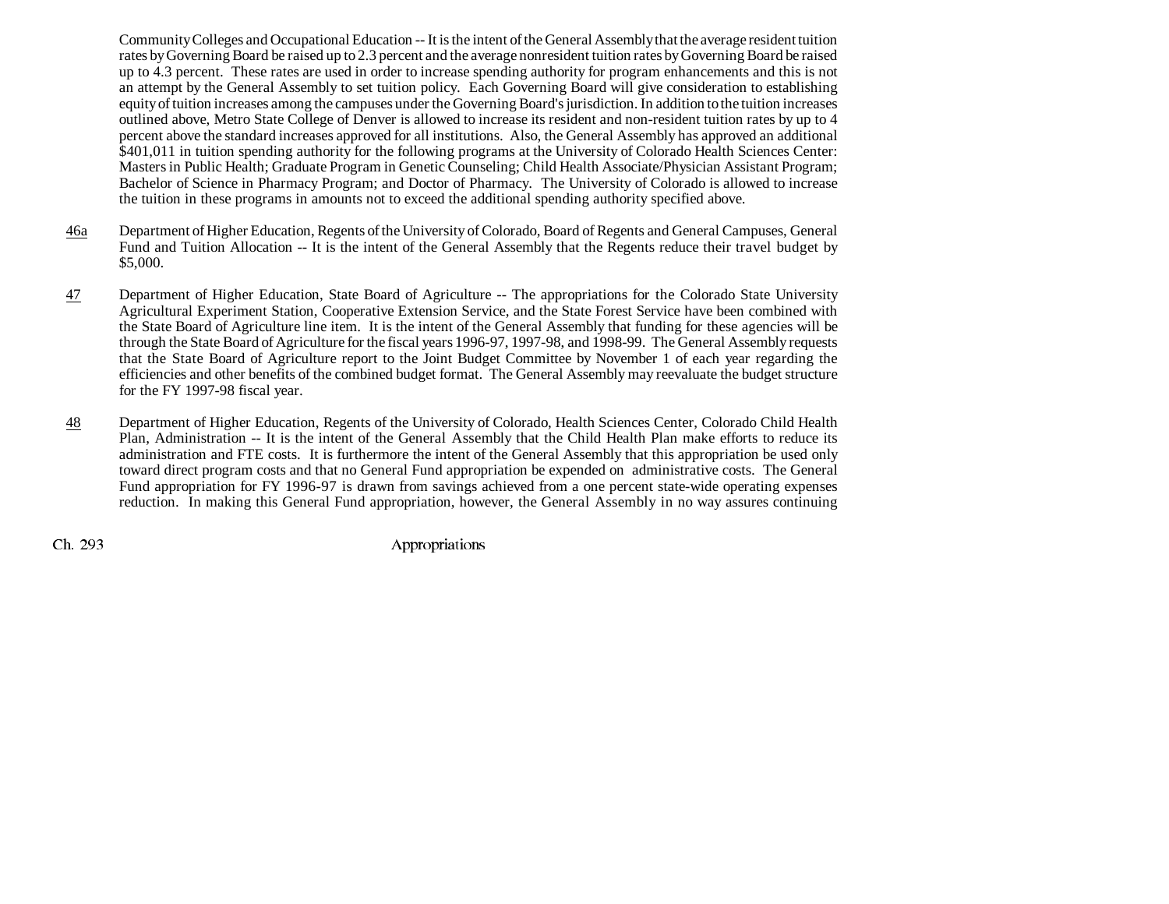Community Colleges and Occupational Education -- It is the intent of the General Assembly that the average resident tuition rates by Governing Board be raised up to 2.3 percent and the average nonresident tuition rates by Governing Board be raised up to 4.3 percent. These rates are used in order to increase spending authority for program enhancements and this is not an attempt by the General Assembly to set tuition policy. Each Governing Board will give consideration to establishing equity of tuition increases among the campuses under the Governing Board's jurisdiction. In addition to the tuition increases outlined above, Metro State College of Denver is allowed to increase its resident and non-resident tuition rates by up to 4 percent above the standard increases approved for all institutions. Also, the General Assembly has approved an additional \$401,011 in tuition spending authority for the following programs at the University of Colorado Health Sciences Center: Masters in Public Health; Graduate Program in Genetic Counseling; Child Health Associate/Physician Assistant Program; Bachelor of Science in Pharmacy Program; and Doctor of Pharmacy. The University of Colorado is allowed to increase the tuition in these programs in amounts not to exceed the additional spending authority specified above.

- 46a Department of Higher Education, Regents of the University of Colorado, Board of Regents and General Campuses, General Fund and Tuition Allocation -- It is the intent of the General Assembly that the Regents reduce their travel budget by \$5,000.
- 47 Department of Higher Education, State Board of Agriculture -- The appropriations for the Colorado State University Agricultural Experiment Station, Cooperative Extension Service, and the State Forest Service have been combined with the State Board of Agriculture line item. It is the intent of the General Assembly that funding for these agencies will be through the State Board of Agriculture for the fiscal years 1996-97, 1997-98, and 1998-99. The General Assembly requests that the State Board of Agriculture report to the Joint Budget Committee by November 1 of each year regarding the efficiencies and other benefits of the combined budget format. The General Assembly may reevaluate the budget structure for the FY 1997-98 fiscal year.
- 48 Department of Higher Education, Regents of the University of Colorado, Health Sciences Center, Colorado Child Health Plan, Administration -- It is the intent of the General Assembly that the Child Health Plan make efforts to reduce its administration and FTE costs. It is furthermore the intent of the General Assembly that this appropriation be used only toward direct program costs and that no General Fund appropriation be expended on administrative costs. The General Fund appropriation for FY 1996-97 is drawn from savings achieved from a one percent state-wide operating expenses reduction. In making this General Fund appropriation, however, the General Assembly in no way assures continuing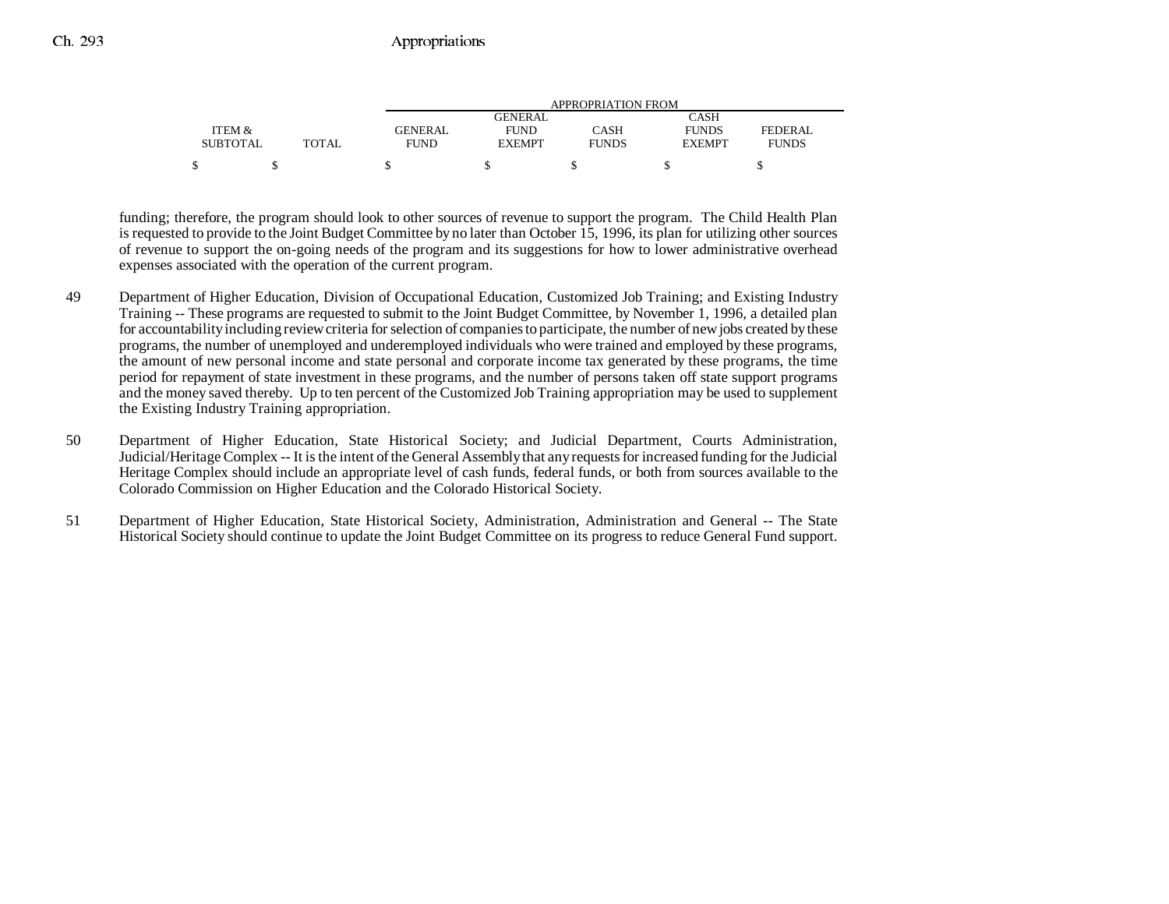|                 |       |             | APPROPRIATION FROM |              |               |              |  |
|-----------------|-------|-------------|--------------------|--------------|---------------|--------------|--|
|                 |       |             | <b>GENERAL</b>     |              | CASH          |              |  |
| ITEM &          |       | GENERAL     | <b>FUND</b>        | CASH         | <b>FUNDS</b>  | FEDERAL      |  |
| <b>SUBTOTAL</b> | TOTAL | <b>FUND</b> | <b>EXEMPT</b>      | <b>FUNDS</b> | <b>EXEMPT</b> | <b>FUNDS</b> |  |
| \$              |       |             |                    |              |               |              |  |

funding; therefore, the program should look to other sources of revenue to support the program. The Child Health Plan is requested to provide to the Joint Budget Committee by no later than October 15, 1996, its plan for utilizing other sources of revenue to support the on-going needs of the program and its suggestions for how to lower administrative overhead expenses associated with the operation of the current program.

- 49 Department of Higher Education, Division of Occupational Education, Customized Job Training; and Existing Industry Training -- These programs are requested to submit to the Joint Budget Committee, by November 1, 1996, a detailed plan for accountability including review criteria for selection of companies to participate, the number of new jobs created by these programs, the number of unemployed and underemployed individuals who were trained and employed by these programs, the amount of new personal income and state personal and corporate income tax generated by these programs, the time period for repayment of state investment in these programs, and the number of persons taken off state support programs and the money saved thereby. Up to ten percent of the Customized Job Training appropriation may be used to supplement the Existing Industry Training appropriation.
- 50 Department of Higher Education, State Historical Society; and Judicial Department, Courts Administration, Judicial/Heritage Complex -- It is the intent of the General Assembly that any requests for increased funding for the Judicial Heritage Complex should include an appropriate level of cash funds, federal funds, or both from sources available to the Colorado Commission on Higher Education and the Colorado Historical Society.
- 51 Department of Higher Education, State Historical Society, Administration, Administration and General -- The State Historical Society should continue to update the Joint Budget Committee on its progress to reduce General Fund support.